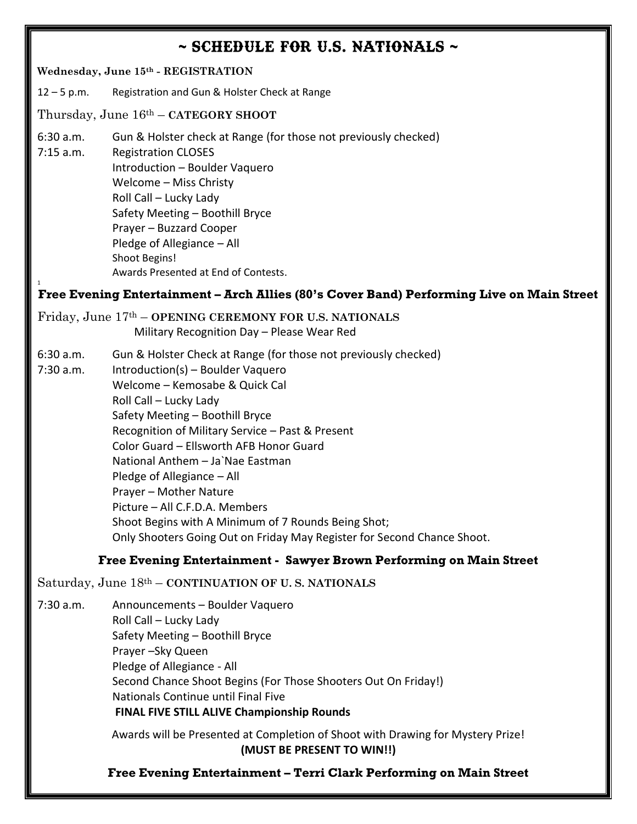## $\sim$  SCHEDULE FOR U.S. NATIONALS  $\sim$

### **Wednesday, June 15th - REGISTRATION** 12 – 5 p.m. Registration and Gun & Holster Check at Range Thursday, June 16th – **CATEGORY SHOOT** 6:30 a.m. Gun & Holster check at Range (for those not previously checked) 7:15 a.m. Registration CLOSES Introduction – Boulder Vaquero Welcome – Miss Christy Roll Call – Lucky Lady Safety Meeting – Boothill Bryce Prayer – Buzzard Cooper Pledge of Allegiance – All Shoot Begins! Awards Presented at End of Contests. 1 **Free Evening Entertainment – Arch Allies (80's Cover Band) Performing Live on Main Street**

Friday, June 17th – **OPENING CEREMONY FOR U.S. NATIONALS**

Military Recognition Day – Please Wear Red

- 6:30 a.m. Gun & Holster Check at Range (for those not previously checked)
- 7:30 a.m. Introduction(s) Boulder Vaquero Welcome – Kemosabe & Quick Cal Roll Call – Lucky Lady Safety Meeting – Boothill Bryce Recognition of Military Service – Past & Present Color Guard – Ellsworth AFB Honor Guard National Anthem – Ja`Nae Eastman Pledge of Allegiance – All Prayer – Mother Nature Picture – All C.F.D.A. Members Shoot Begins with A Minimum of 7 Rounds Being Shot; Only Shooters Going Out on Friday May Register for Second Chance Shoot.

#### **Free Evening Entertainment - Sawyer Brown Performing on Main Street**

Saturday, June 18th – **CONTINUATION OF U. S. NATIONALS**

7:30 a.m. Announcements – Boulder Vaquero Roll Call – Lucky Lady Safety Meeting – Boothill Bryce Prayer –Sky Queen Pledge of Allegiance - All Second Chance Shoot Begins (For Those Shooters Out On Friday!) Nationals Continue until Final Five **FINAL FIVE STILL ALIVE Championship Rounds**

> Awards will be Presented at Completion of Shoot with Drawing for Mystery Prize! **(MUST BE PRESENT TO WIN!!)**

> **Free Evening Entertainment – Terri Clark Performing on Main Street**